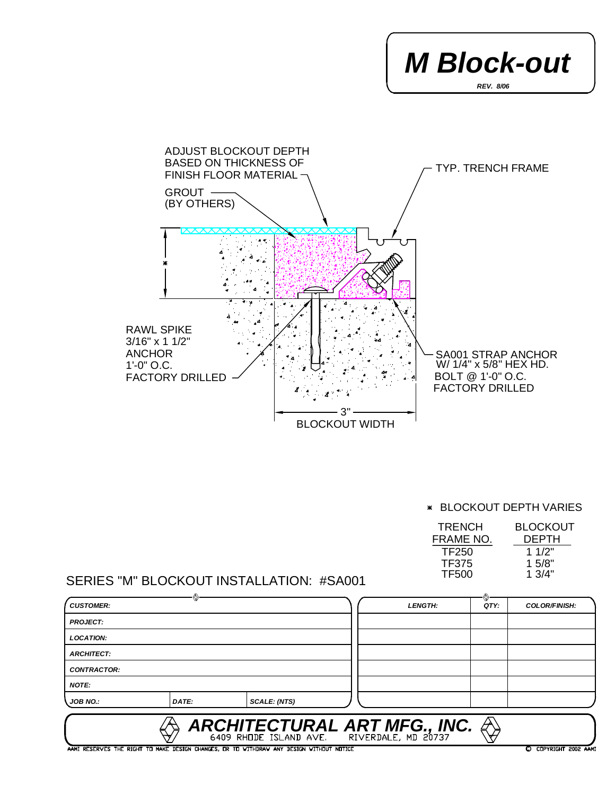



BLOCKOUT DEPTH VARIES

| <b>BLOCKOUT</b> |
|-----------------|
| <b>DEPTH</b>    |
| 1 $1/2"$        |
| 1.5/8"          |
| 1.3/4"          |
|                 |

## SERIES "M" BLOCKOUT INSTALLATION: #SA001

|                    | 76    |                     |                                                                                        | ◈    |                      |
|--------------------|-------|---------------------|----------------------------------------------------------------------------------------|------|----------------------|
| <b>CUSTOMER:</b>   |       |                     | <b>LENGTH:</b>                                                                         | QTY. | <b>COLOR/FINISH:</b> |
| <b>PROJECT:</b>    |       |                     |                                                                                        |      |                      |
| <b>LOCATION:</b>   |       |                     |                                                                                        |      |                      |
| <b>ARCHITECT:</b>  |       |                     |                                                                                        |      |                      |
| <b>CONTRACTOR:</b> |       |                     |                                                                                        |      |                      |
| <b>NOTE:</b>       |       |                     |                                                                                        |      |                      |
| <b>JOB NO.:</b>    | DATE: | <b>SCALE: (NTS)</b> |                                                                                        |      |                      |
|                    |       |                     | ARCHITECTURAL ART MFG., INC. $\bigotimes_{6409}$ RHODE ISLAND AVE. RIVERDALE, MD 20737 |      |                      |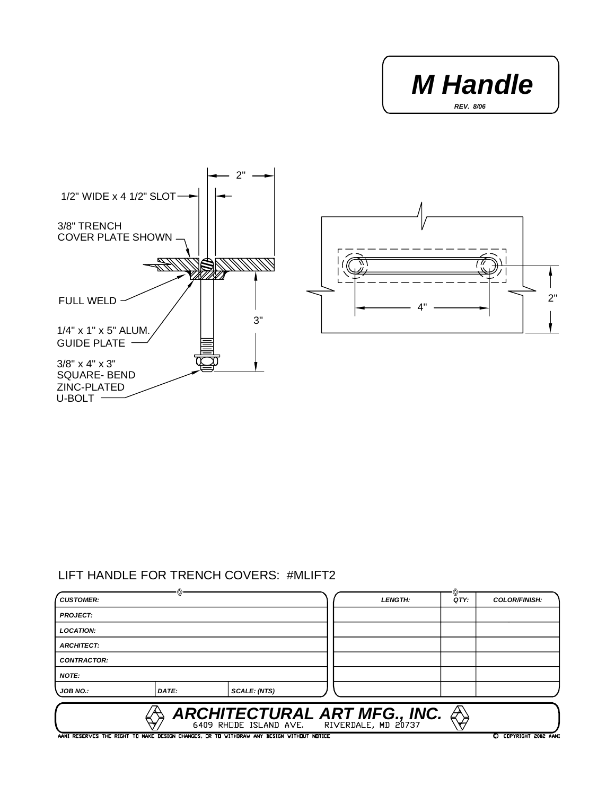





## LIFT HANDLE FOR TRENCH COVERS: #MLIFT2

| <b>CUSTOMER:</b>   |       |                                                                                          | <b>LENGTH:</b> | QTY: | <b>COLOR/FINISH:</b>  |
|--------------------|-------|------------------------------------------------------------------------------------------|----------------|------|-----------------------|
| <b>PROJECT:</b>    |       |                                                                                          |                |      |                       |
| <b>LOCATION:</b>   |       |                                                                                          |                |      |                       |
| <b>ARCHITECT:</b>  |       |                                                                                          |                |      |                       |
| <b>CONTRACTOR:</b> |       |                                                                                          |                |      |                       |
| <b>NOTE:</b>       |       |                                                                                          |                |      |                       |
| <b>JOB NO.:</b>    | DATE: | SCALE: (NTS)                                                                             |                |      |                       |
|                    |       | ARCHITECTURAL ART MFG., INC. $\overset{\triangle}{\underset{6409}{\bigstar}}$            |                |      |                       |
|                    |       | AAMI RESERVES THE RIGHT TO MAKE DESIGN CHANGES, OR TO WITHDRAW ANY DESIGN WITHOUT NOTICE |                |      | C COPYRIGHT 2002 AAMI |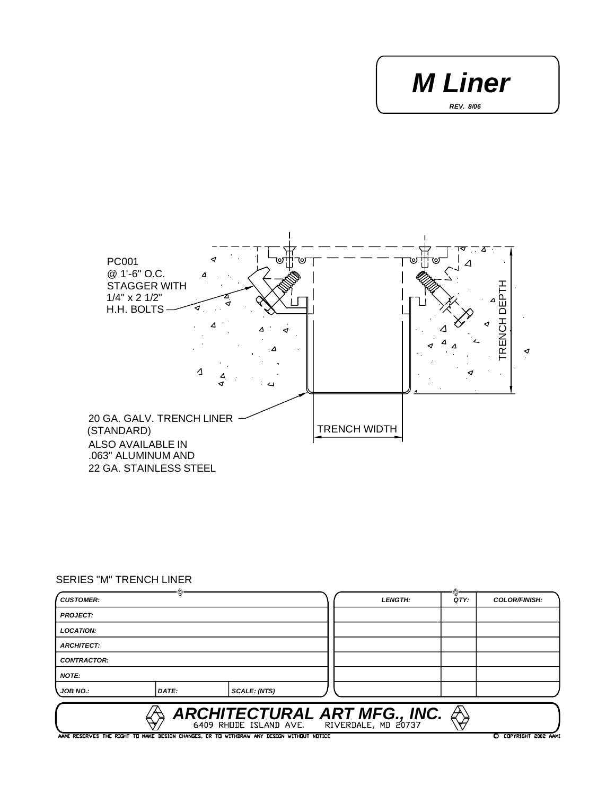*REV. 8/06 M Liner*



## SERIES "M" TRENCH LINER

| <b>CUSTOMER:</b>   |       |                                                                                          | <b>LENGTH:</b>                                                     | QTY: | <b>COLOR/FINISH:</b>  |
|--------------------|-------|------------------------------------------------------------------------------------------|--------------------------------------------------------------------|------|-----------------------|
| <b>PROJECT:</b>    |       |                                                                                          |                                                                    |      |                       |
| <b>LOCATION:</b>   |       |                                                                                          |                                                                    |      |                       |
| <b>ARCHITECT:</b>  |       |                                                                                          |                                                                    |      |                       |
| <b>CONTRACTOR:</b> |       |                                                                                          |                                                                    |      |                       |
| <b>NOTE:</b>       |       |                                                                                          |                                                                    |      |                       |
| JOB NO.:           | DATE: | <b>SCALE: (NTS)</b>                                                                      |                                                                    |      |                       |
|                    |       |                                                                                          | ARCHITECTURAL ART MFG., INC. $\bigotimes_{6409}$ RHODE ISLAND AVE. |      |                       |
|                    |       | AAMI RESERVES THE RIGHT TO MAKE DESIGN CHANGES, OR TO WITHDRAW ANY DESIGN WITHOUT NOTICE |                                                                    |      | C COPYRIGHT 2002 AAMI |